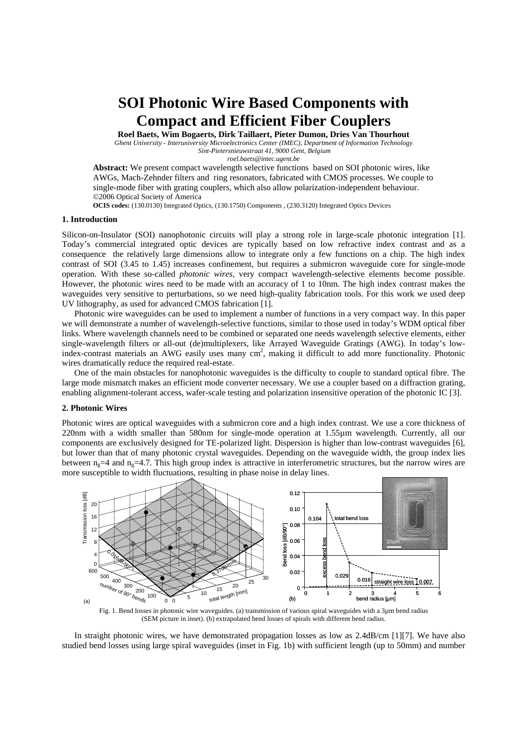# **SOI Photonic Wire Based Components with Compact and Efficient Fiber Couplers**

**Roel Baets, Wim Bogaerts, Dirk Taillaert, Pieter Dumon, Dries Van Thourhout**  *Ghent University - Interuniversity Microelectronics Center (IMEC), Department of Information Technology Sint-Pietersnieuwstraat 41, 9000 Gent, Belgium* 

*roel.baets@intec.ugent.be* 

**Abstract:** We present compact wavelength selective functions based on SOI photonic wires, like AWGs, Mach-Zehnder filters and ring resonators, fabricated with CMOS processes. We couple to single-mode fiber with grating couplers, which also allow polarization-independent behaviour. ©2006 Optical Society of America

**OCIS codes:** (130.0130) Integrated Optics, (130.1750) Components , (230.3120) Integrated Optics Devices

# **1. Introduction**

Silicon-on-Insulator (SOI) nanophotonic circuits will play a strong role in large-scale photonic integration [1]. Today's commercial integrated optic devices are typically based on low refractive index contrast and as a consequence the relatively large dimensions allow to integrate only a few functions on a chip. The high index contrast of SOI (3.45 to 1.45) increases confinement, but requires a submicron waveguide core for single-mode operation. With these so-called *photonic wires*, very compact wavelength-selective elements become possible. However, the photonic wires need to be made with an accuracy of 1 to 10nm. The high index contrast makes the waveguides very sensitive to perturbations, so we need high-quality fabrication tools. For this work we used deep UV lithography, as used for advanced CMOS fabrication [1].

Photonic wire waveguides can be used to implement a number of functions in a very compact way. In this paper we will demonstrate a number of wavelength-selective functions, similar to those used in today's WDM optical fiber links. Where wavelength channels need to be combined or separated one needs wavelength selective elements, either single-wavelength filters or all-out (de)multiplexers, like Arrayed Waveguide Gratings (AWG). In today's lowindex-contrast materials an AWG easily uses many cm<sup>2</sup>, making it difficult to add more functionality. Photonic wires dramatically reduce the required real-estate.

One of the main obstacles for nanophotonic waveguides is the difficulty to couple to standard optical fibre. The large mode mismatch makes an efficient mode converter necessary. We use a coupler based on a diffraction grating, enabling alignment-tolerant access, wafer-scale testing and polarization insensitive operation of the photonic IC [3].

## **2. Photonic Wires**

Photonic wires are optical waveguides with a submicron core and a high index contrast. We use a core thickness of 220nm with a width smaller than 580nm for single-mode operation at 1.55µm wavelength. Currently, all our components are exclusively designed for TE-polarized light. Dispersion is higher than low-contrast waveguides [6], but lower than that of many photonic crystal waveguides. Depending on the waveguide width, the group index lies between  $n_e=4$  and  $n_e=4.7$ . This high group index is attractive in interferometric structures, but the narrow wires are more susceptible to width fluctuations, resulting in phase noise in delay lines.



Fig. 1. Bend losses in photonic wire waveguides. (a) transmission of various spiral waveguides with a 3µm bend radius (SEM picture in inset). (b) extrapolated bend losses of spirals with different bend radius.

In straight photonic wires, we have demonstrated propagation losses as low as 2.4dB/cm [1][7]. We have also studied bend losses using large spiral waveguides (inset in Fig. 1b) with sufficient length (up to 50mm) and number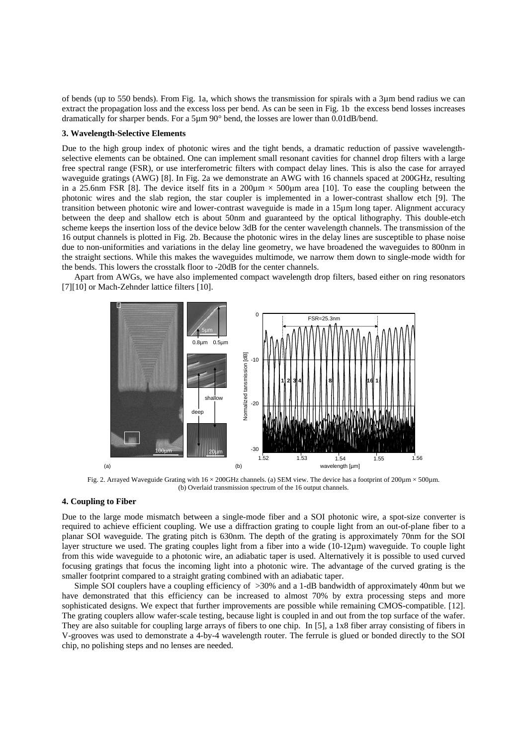of bends (up to 550 bends). From Fig. 1a, which shows the transmission for spirals with a 3µm bend radius we can extract the propagation loss and the excess loss per bend. As can be seen in Fig. 1b the excess bend losses increases dramatically for sharper bends. For a 5µm 90° bend, the losses are lower than 0.01dB/bend.

### **3. Wavelength-Selective Elements**

Due to the high group index of photonic wires and the tight bends, a dramatic reduction of passive wavelengthselective elements can be obtained. One can implement small resonant cavities for channel drop filters with a large free spectral range (FSR), or use interferometric filters with compact delay lines. This is also the case for arrayed waveguide gratings (AWG) [8]. In Fig. 2a we demonstrate an AWG with 16 channels spaced at 200GHz, resulting in a 25.6nm FSR [8]. The device itself fits in a  $200\mu$ m  $\times$  500 $\mu$ m area [10]. To ease the coupling between the photonic wires and the slab region, the star coupler is implemented in a lower-contrast shallow etch [9]. The transition between photonic wire and lower-contrast waveguide is made in a 15µm long taper. Alignment accuracy between the deep and shallow etch is about 50nm and guaranteed by the optical lithography. This double-etch scheme keeps the insertion loss of the device below 3dB for the center wavelength channels. The transmission of the 16 output channels is plotted in Fig. 2b. Because the photonic wires in the delay lines are susceptible to phase noise due to non-uniformities and variations in the delay line geometry, we have broadened the waveguides to 800nm in the straight sections. While this makes the waveguides multimode, we narrow them down to single-mode width for the bends. This lowers the crosstalk floor to -20dB for the center channels.

Apart from AWGs, we have also implemented compact wavelength drop filters, based either on ring resonators [7][10] or Mach-Zehnder lattice filters [10].



Fig. 2. Arrayed Waveguide Grating with  $16 \times 200$ GHz channels. (a) SEM view. The device has a footprint of  $200 \mu m \times 500 \mu m$ . (b) Overlaid transmission spectrum of the 16 output channels.

# **4. Coupling to Fiber**

Due to the large mode mismatch between a single-mode fiber and a SOI photonic wire, a spot-size converter is required to achieve efficient coupling. We use a diffraction grating to couple light from an out-of-plane fiber to a planar SOI waveguide. The grating pitch is 630nm. The depth of the grating is approximately 70nm for the SOI layer structure we used. The grating couples light from a fiber into a wide (10-12µm) waveguide. To couple light from this wide waveguide to a photonic wire, an adiabatic taper is used. Alternatively it is possible to used curved focusing gratings that focus the incoming light into a photonic wire. The advantage of the curved grating is the smaller footprint compared to a straight grating combined with an adiabatic taper.

Simple SOI couplers have a coupling efficiency of >30% and a 1-dB bandwidth of approximately 40nm but we have demonstrated that this efficiency can be increased to almost 70% by extra processing steps and more sophisticated designs. We expect that further improvements are possible while remaining CMOS-compatible. [12]. The grating couplers allow wafer-scale testing, because light is coupled in and out from the top surface of the wafer. They are also suitable for coupling large arrays of fibers to one chip. In [5], a 1x8 fiber array consisting of fibers in V-grooves was used to demonstrate a 4-by-4 wavelength router. The ferrule is glued or bonded directly to the SOI chip, no polishing steps and no lenses are needed.